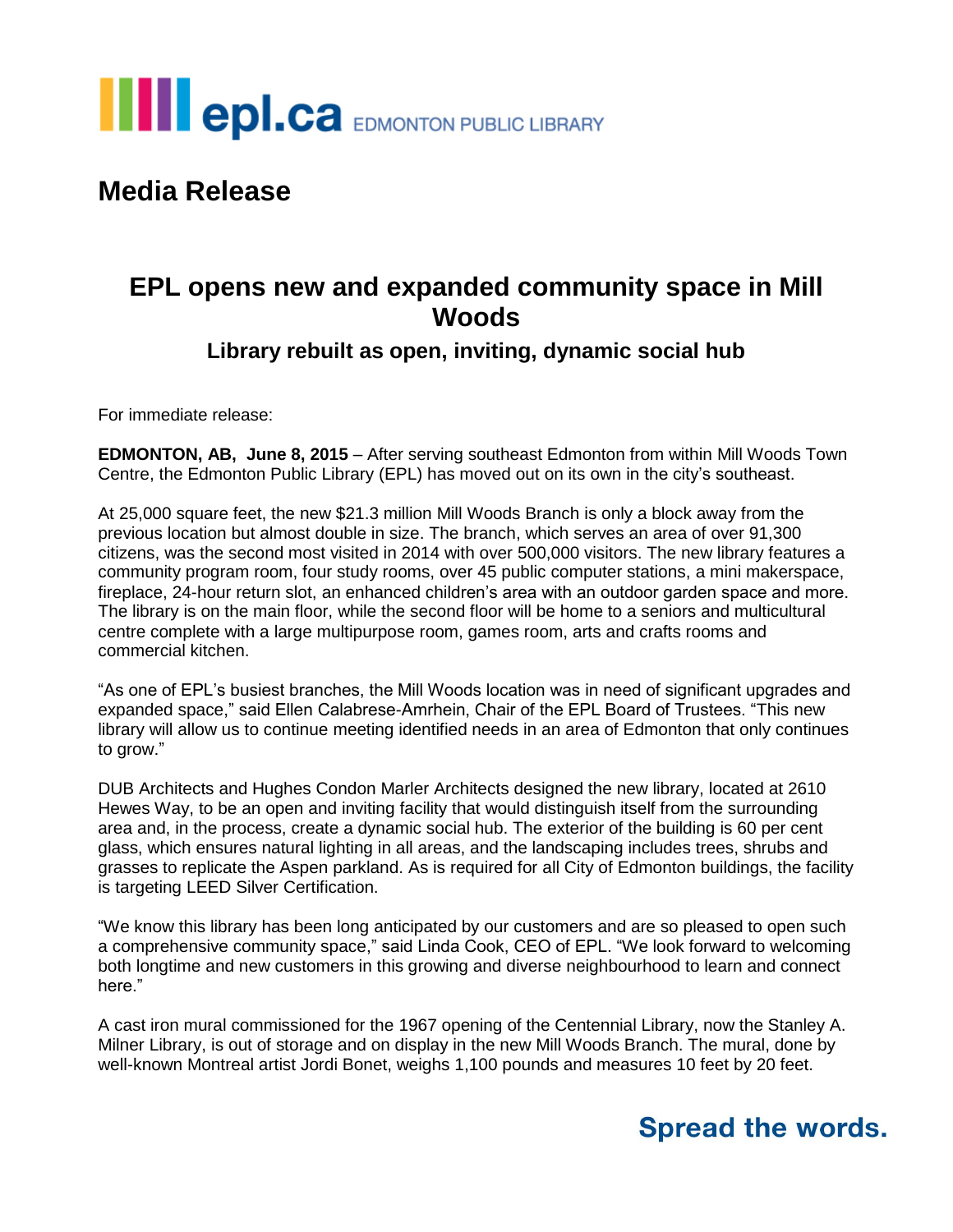

## **Media Release**

### **EPL opens new and expanded community space in Mill Woods**

#### **Library rebuilt as open, inviting, dynamic social hub**

For immediate release:

**EDMONTON, AB, June 8, 2015** – After serving southeast Edmonton from within Mill Woods Town Centre, the Edmonton Public Library (EPL) has moved out on its own in the city's southeast.

At 25,000 square feet, the new \$21.3 million Mill Woods Branch is only a block away from the previous location but almost double in size. The branch, which serves an area of over 91,300 citizens, was the second most visited in 2014 with over 500,000 visitors. The new library features a community program room, four study rooms, over 45 public computer stations, a mini makerspace, fireplace, 24-hour return slot, an enhanced children's area with an outdoor garden space and more. The library is on the main floor, while the second floor will be home to a seniors and multicultural centre complete with a large multipurpose room, games room, arts and crafts rooms and commercial kitchen.

"As one of EPL's busiest branches, the Mill Woods location was in need of significant upgrades and expanded space," said Ellen Calabrese-Amrhein, Chair of the EPL Board of Trustees. "This new library will allow us to continue meeting identified needs in an area of Edmonton that only continues to grow."

DUB Architects and Hughes Condon Marler Architects designed the new library, located at 2610 Hewes Way, to be an open and inviting facility that would distinguish itself from the surrounding area and, in the process, create a dynamic social hub. The exterior of the building is 60 per cent glass, which ensures natural lighting in all areas, and the landscaping includes trees, shrubs and grasses to replicate the Aspen parkland. As is required for all City of Edmonton buildings, the facility is targeting LEED Silver Certification.

"We know this library has been long anticipated by our customers and are so pleased to open such a comprehensive community space," said Linda Cook, CEO of EPL. "We look forward to welcoming both longtime and new customers in this growing and diverse neighbourhood to learn and connect here."

A cast iron mural commissioned for the 1967 opening of the Centennial Library, now the Stanley A. Milner Library, is out of storage and on display in the new Mill Woods Branch. The mural, done by well-known Montreal artist Jordi Bonet, weighs 1,100 pounds and measures 10 feet by 20 feet.

## **Spread the words.**